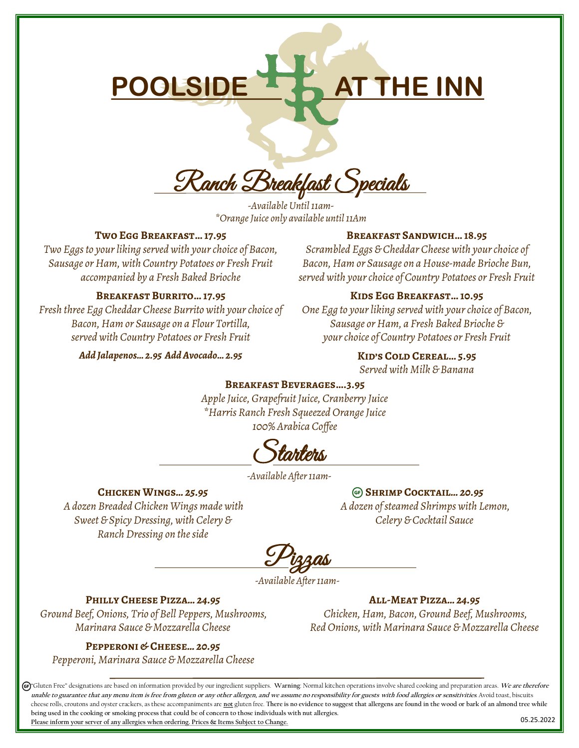# POOLSIDE **AT THE INN**

Ranch Breakfast Specials

*-Available Until 11am- \*Orange Juice only available until 11Am*

## **Two Egg Breakfast… 17.95**

*Two Eggs to your liking served with your choice of Bacon, Sausage or Ham, with Country Potatoes or Fresh Fruit accompanied by a Fresh Baked Brioche*

**Breakfast Burrito… 17.95** *Fresh three Egg Cheddar Cheese Burrito with your choice of Bacon, Ham or Sausage on a Flour Tortilla, served with Country Potatoes or Fresh Fruit Add Jalapenos… 2.95 Add Avocado… 2.95*

# *Scrambled Eggs & Cheddar Cheese with your choice of*

*Bacon, Ham or Sausage on a House-made Brioche Bun, served with your choice of Country Potatoes or Fresh Fruit*

**Breakfast Sandwich… 18.95**

# **Kids Egg Breakfast… 10.95**

*One Egg to your liking served with your choice of Bacon, Sausage or Ham, a Fresh Baked Brioche & your choice of Country Potatoes or Fresh Fruit*

> **Kid's Cold Cereal… 5.95** *Served with Milk & Banana*

#### **Breakfast Beverages….3.95**

*Apple Juice, Grapefruit Juice, Cranberry Juice \*Harris Ranch Fresh Squeezed Orange Juice 100% Arabica Coffee*

tant*e*ns.

*-Available After 11am-*

# **Chicken Wings***… 25.95*

*A dozen Breaded Chicken Wings made with Sweet & Spicy Dressing, with Celery & Ranch Dressing on the side*

**Shrimp Cocktail***… 20.95 A dozen of steamed Shrimps with Lemon, Celery & Cocktail Sauce*

Pizzas

*-Available After 11am-*

# **Philly Cheese Pizza***… 24.95*

*Ground Beef, Onions, Trio of Bell Peppers, Mushrooms, Marinara Sauce & Mozzarella Cheese*

#### **Pepperoni & Cheese***… 20.95*

*Pepperoni, Marinara Sauce & Mozzarella Cheese*

**All-Meat Pizza***… 24.95 Chicken, Ham, Bacon, Ground Beef, Mushrooms, Red Onions, with Marinara Sauce & Mozzarella Cheese*

05.25.2022 "Gluten Free" designations are based on information provided by our ingredient suppliers. **Warning**: Normal kitchen operations involve shared cooking and preparation areas. **We are therefore**  unable to guarantee that any menu item is free from gluten or any other allergen, and we assume no responsibility for guests with food allergies or sensitivities. Avoid toast, biscuits cheese rolls, croutons and oyster crackers, as these accompaniments are **not** gluten free. **There is no evidence to suggest that allergens are found in the wood or bark of an almond tree while being used in the cooking or smoking process that could be of concern to those individuals with nut allergies. Please inform your server of any allergies when ordering. Prices & Items Subject to Change.**